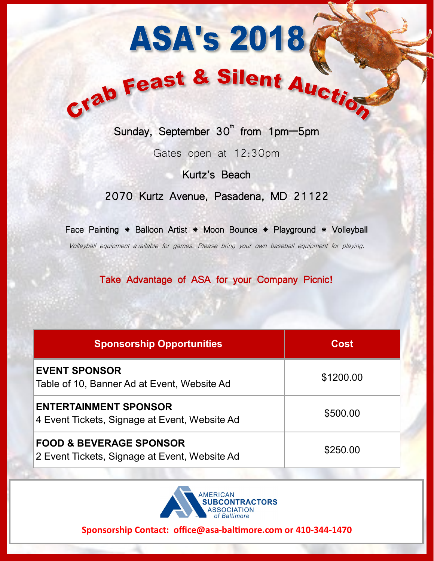## ASA's 2018

# Crab Feast & Silent Auction

Sunday, September 30<sup>th</sup> from 1pm-5pm

Gates open at 12:30pm

Kurtz's Beach

2070 Kurtz Avenue, Pasadena, MD 21122

Face Painting \* Balloon Artist \* Moon Bounce \* Playground \* Volleyball

Volleyball equipment available for games. Please bring your own baseball equipment for playing.

Take Advantage of ASA for your Company Picnic!

| <b>Sponsorship Opportunities</b>                                                    | Cost      |
|-------------------------------------------------------------------------------------|-----------|
| <b>EVENT SPONSOR</b><br>Table of 10, Banner Ad at Event, Website Ad                 | \$1200.00 |
| <b>ENTERTAINMENT SPONSOR</b><br>4 Event Tickets, Signage at Event, Website Ad       | \$500.00  |
| <b>FOOD &amp; BEVERAGE SPONSOR</b><br>2 Event Tickets, Signage at Event, Website Ad | \$250.00  |



**Sponsorship Contact: office@asa-baltimore.com or 410-344-1470**